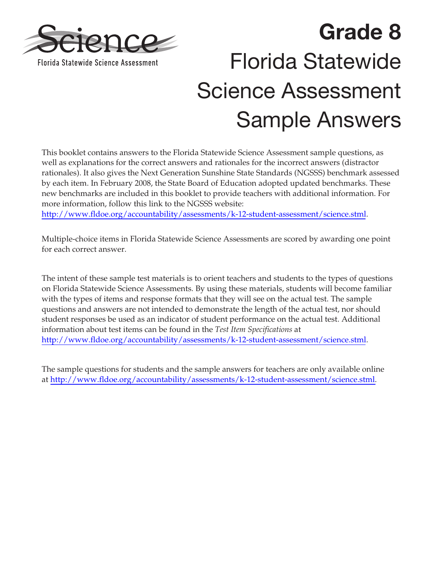

# **Grade 8**  Florida Statewide Science Assessment Sample Answers

This booklet contains answers to the Florida Statewide Science Assessment sample questions, as well as explanations for the correct answers and rationales for the incorrect answers (distractor rationales). It also gives the Next Generation Sunshine State Standards (NGSSS) benchmark assessed by each item. In February 2008, the State Board of Education adopted updated benchmarks. These new benchmarks are included in this booklet to provide teachers with additional information. For more information, follow this link to the NGSSS website:

<http://www.fldoe.org/accountability/assessments/k-12-student-assessment/science.stml>.

Multiple-choice items in Florida Statewide Science Assessments are scored by awarding one point for each correct answer.

The intent of these sample test materials is to orient teachers and students to the types of questions on Florida Statewide Science Assessments. By using these materials, students will become familiar with the types of items and response formats that they will see on the actual test. The sample questions and answers are not intended to demonstrate the length of the actual test, nor should student responses be used as an indicator of student performance on the actual test. Additional information about test items can be found in the *Test Item Specifications* at <http://www.fldoe.org/accountability/assessments/k-12-student-assessment/science.stml>.

The sample questions for students and the sample answers for teachers are only available online at [http://www.fldoe.org/accountability/assessments/k-12-student-assessment/science.stml.](http://www.fldoe.org/accountability/assessments/k-12-student-assessment/science.stml)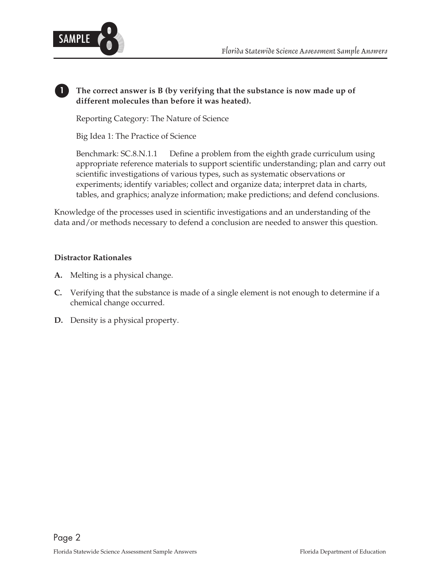

# **1 The correct answer is B (by verifying that the substance is now made up of different molecules than before it was heated).**

Reporting Category: The Nature of Science

Big Idea 1: The Practice of Science

Benchmark: SC.8.N.1.1 Define a problem from the eighth grade curriculum using appropriate reference materials to support scientific understanding; plan and carry out scientific investigations of various types, such as systematic observations or experiments; identify variables; collect and organize data; interpret data in charts, tables, and graphics; analyze information; make predictions; and defend conclusions.

Knowledge of the processes used in scientific investigations and an understanding of the data and/or methods necessary to defend a conclusion are needed to answer this question.

- A. Melting is a physical change.
- **C.** Verifying that the substance is made of a single element is not enough to determine if a chemical change occurred.
- **D.** Density is a physical property.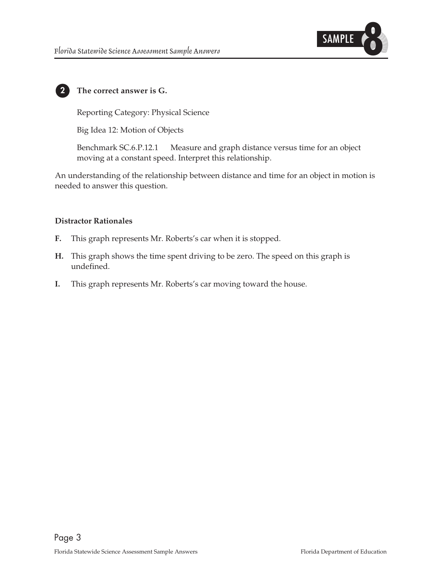

# **2 The correct answer is G.**

Reporting Category: Physical Science

Big Idea 12: Motion of Objects

Benchmark SC.6.P.12.1 Measure and graph distance versus time for an object moving at a constant speed. Interpret this relationship.

An understanding of the relationship between distance and time for an object in motion is needed to answer this question.

- **F.** This graph represents Mr. Roberts's car when it is stopped.
- **H.** This graph shows the time spent driving to be zero. The speed on this graph is undefined.
- **I.** This graph represents Mr. Roberts's car moving toward the house.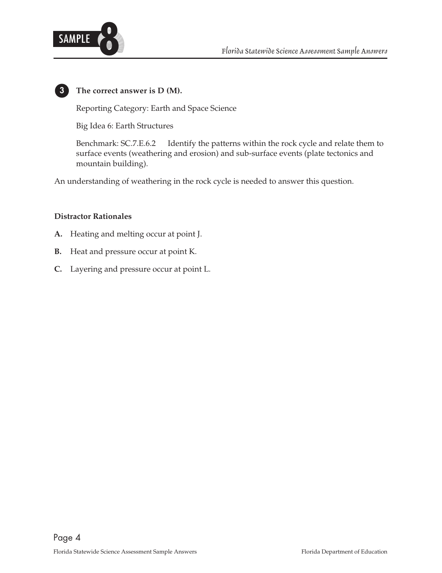



# **3 The correct answer is D (M).**

Reporting Category: Earth and Space Science

Big Idea 6: Earth Structures

Benchmark: SC.7.E.6.2 Identify the patterns within the rock cycle and relate them to surface events (weathering and erosion) and sub-surface events (plate tectonics and mountain building).

An understanding of weathering in the rock cycle is needed to answer this question.

- **A.** Heating and melting occur at point J.
- **B.** Heat and pressure occur at point K.
- **C.** Layering and pressure occur at point L.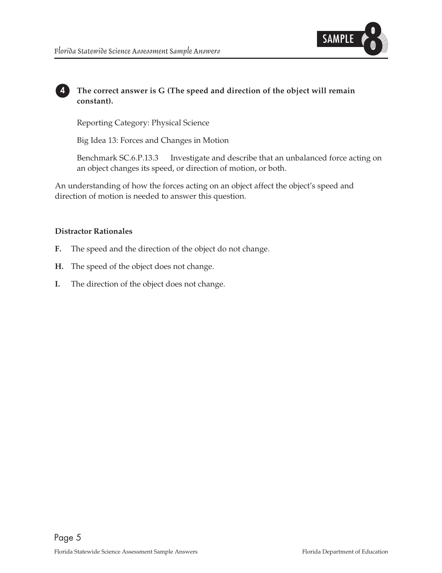

# **4 The correct answer is G (The speed and direction of the object will remain constant).**

Reporting Category: Physical Science

Big Idea 13: Forces and Changes in Motion

Benchmark SC.6.P.13.3 Investigate and describe that an unbalanced force acting on an object changes its speed, or direction of motion, or both.

An understanding of how the forces acting on an object affect the object's speed and direction of motion is needed to answer this question.

- **F.** The speed and the direction of the object do not change.
- **H.** The speed of the object does not change.
- **I.** The direction of the object does not change.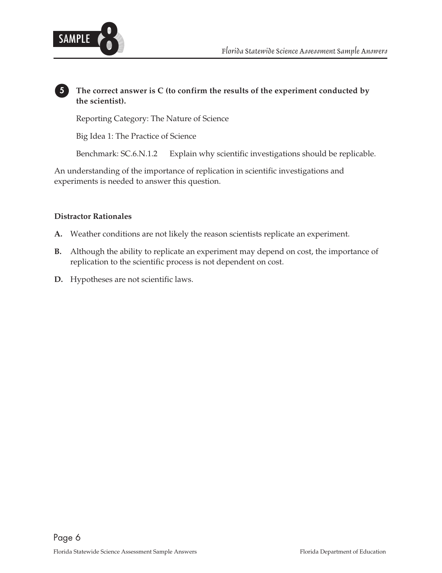

# **5 The correct answer is C (to confirm the results of the experiment conducted by the scientist).**

Reporting Category: The Nature of Science

Big Idea 1: The Practice of Science

Benchmark: SC.6.N.1.2 Explain why scientific investigations should be replicable.

An understanding of the importance of replication in scientific investigations and experiments is needed to answer this question.

- A. Weather conditions are not likely the reason scientists replicate an experiment.
- **B.** Although the ability to replicate an experiment may depend on cost, the importance of replication to the scientific process is not dependent on cost.
- D. Hypotheses are not scientific laws.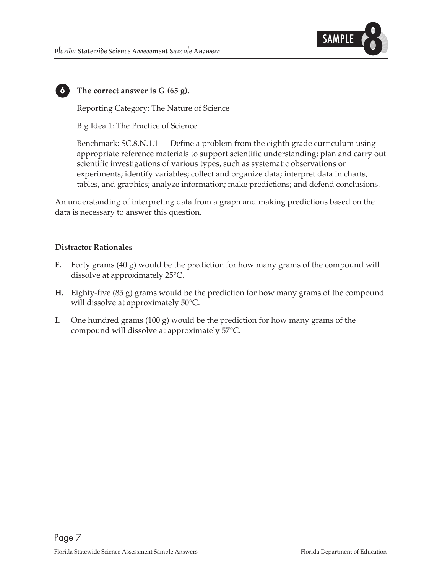

**6 The correct answer is G (65 g).** 

Reporting Category: The Nature of Science

Big Idea 1: The Practice of Science

Benchmark: SC.8.N.1.1 Define a problem from the eighth grade curriculum using appropriate reference materials to support scientific understanding; plan and carry out scientific investigations of various types, such as systematic observations or experiments; identify variables; collect and organize data; interpret data in charts, tables, and graphics; analyze information; make predictions; and defend conclusions.

An understanding of interpreting data from a graph and making predictions based on the data is necessary to answer this question.

- **F.** Forty grams (40 g) would be the prediction for how many grams of the compound will dissolve at approximately 25°C.
- **H.** Eighty-five (85 g) grams would be the prediction for how many grams of the compound will dissolve at approximately 50°C.
- **I.** One hundred grams  $(100 \text{ g})$  would be the prediction for how many grams of the compound will dissolve at approximately 57°C.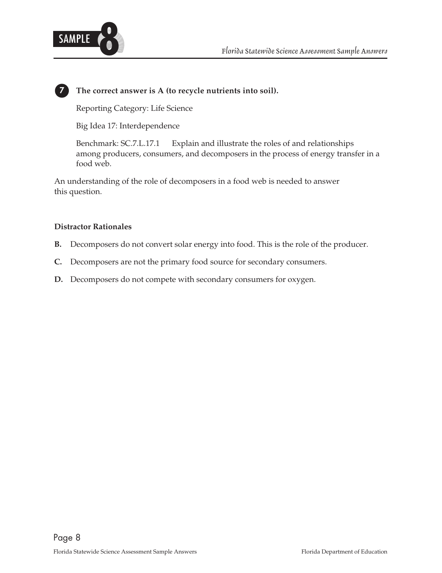

# **7 The correct answer is A (to recycle nutrients into soil).**

Reporting Category: Life Science

Big Idea 17: Interdependence

Benchmark: SC.7.L.17.1 Explain and illustrate the roles of and relationships among producers, consumers, and decomposers in the process of energy transfer in a food web.

An understanding of the role of decomposers in a food web is needed to answer this question.

- **B.** Decomposers do not convert solar energy into food. This is the role of the producer.
- **C.** Decomposers are not the primary food source for secondary consumers.
- **D.** Decomposers do not compete with secondary consumers for oxygen.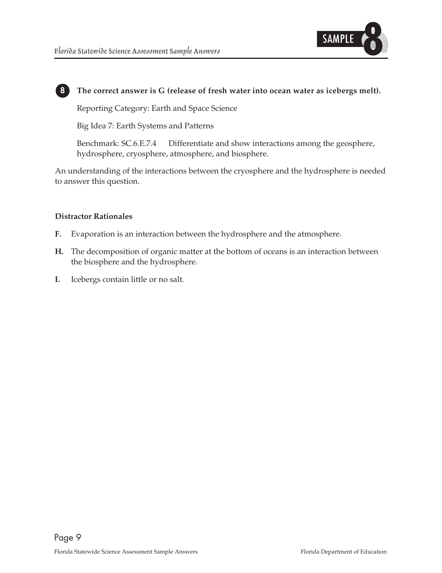

## **8 The correct answer is G (release of fresh water into ocean water as icebergs melt).**

Reporting Category: Earth and Space Science

Big Idea 7: Earth Systems and Patterns

Benchmark: SC.6.E.7.4 Differentiate and show interactions among the geosphere, hydrosphere, cryosphere, atmosphere, and biosphere.

An understanding of the interactions between the cryosphere and the hydrosphere is needed to answer this question.

- **F.** Evaporation is an interaction between the hydrosphere and the atmosphere.
- H. The decomposition of organic matter at the bottom of oceans is an interaction between the biosphere and the hydrosphere.
- **I.** Icebergs contain little or no salt.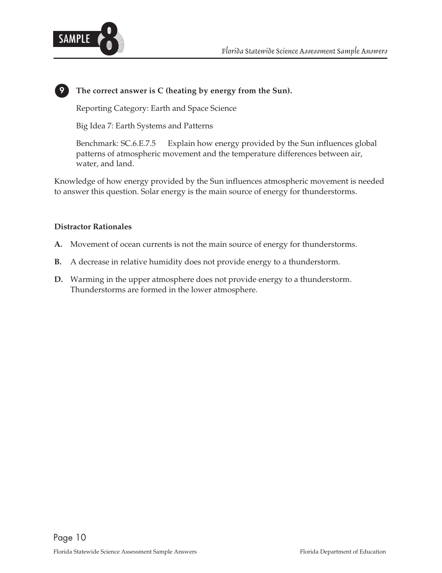

# **9 The correct answer is C (heating by energy from the Sun).**

Reporting Category: Earth and Space Science

Big Idea 7: Earth Systems and Patterns

Benchmark: SC.6.E.7.5 Explain how energy provided by the Sun influences global patterns of atmospheric movement and the temperature differences between air, water, and land.

Knowledge of how energy provided by the Sun influences atmospheric movement is needed to answer this question. Solar energy is the main source of energy for thunderstorms.

- A. Movement of ocean currents is not the main source of energy for thunderstorms.
- **B.** A decrease in relative humidity does not provide energy to a thunderstorm.
- **D.** Warming in the upper atmosphere does not provide energy to a thunderstorm. Thunderstorms are formed in the lower atmosphere.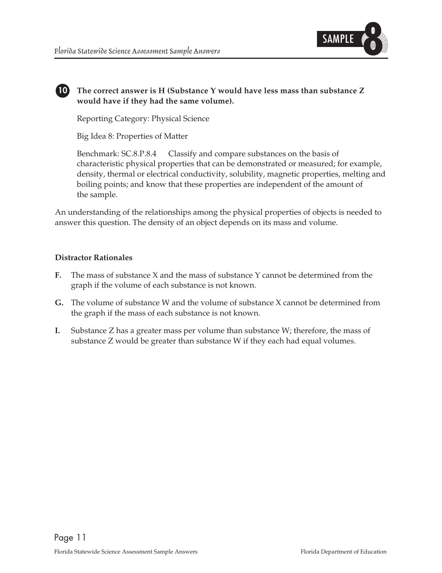

# **10 The correct answer is H (Substance Y would have less mass than substance Z would have if they had the same volume).**

Reporting Category: Physical Science

Big Idea 8: Properties of Matter

Benchmark: SC.8.P.8.4 Classify and compare substances on the basis of characteristic physical properties that can be demonstrated or measured; for example, density, thermal or electrical conductivity, solubility, magnetic properties, melting and boiling points; and know that these properties are independent of the amount of the sample.

An understanding of the relationships among the physical properties of objects is needed to answer this question. The density of an object depends on its mass and volume.

- **F.** The mass of substance X and the mass of substance Y cannot be determined from the graph if the volume of each substance is not known.
- **G.** The volume of substance W and the volume of substance X cannot be determined from the graph if the mass of each substance is not known.
- **I.** Substance Z has a greater mass per volume than substance W; therefore, the mass of substance Z would be greater than substance W if they each had equal volumes.